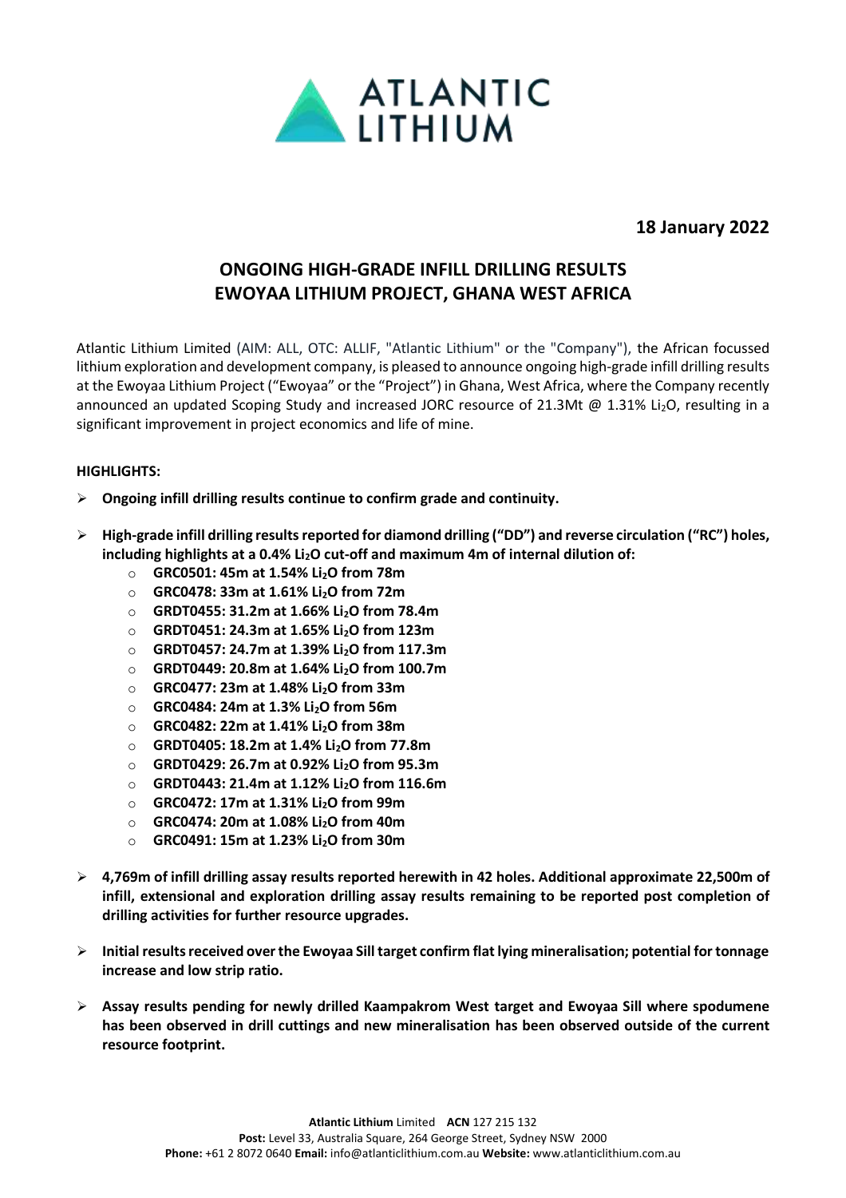

**18 January 2022**

# **ONGOING HIGH-GRADE INFILL DRILLING RESULTS EWOYAA LITHIUM PROJECT, GHANA WEST AFRICA**

Atlantic Lithium Limited (AIM: ALL, OTC: ALLIF, "Atlantic Lithium" or the "Company"), the African focussed lithium exploration and development company, is pleased to announce ongoing high-grade infill drilling results at the Ewoyaa Lithium Project ("Ewoyaa" or the "Project") in Ghana, West Africa, where the Company recently announced an updated Scoping Study and increased JORC resource of 21.3Mt @ 1.31% Li<sub>2</sub>O, resulting in a significant improvement in project economics and life of mine.

## **HIGHLIGHTS:**

- ➢ **Ongoing infill drilling results continue to confirm grade and continuity.**
- ➢ **High-grade infill drilling resultsreported for diamond drilling ("DD") and reverse circulation ("RC") holes, including highlights at a 0.4% Li2O cut-off and maximum 4m of internal dilution of:**
	- o **GRC0501: 45m at 1.54% Li2O from 78m**
	- o **GRC0478: 33m at 1.61% Li2O from 72m**
	- o **GRDT0455: 31.2m at 1.66% Li2O from 78.4m**
	- o **GRDT0451: 24.3m at 1.65% Li2O from 123m**
	- o **GRDT0457: 24.7m at 1.39% Li2O from 117.3m**
	- o **GRDT0449: 20.8m at 1.64% Li2O from 100.7m**
	- o **GRC0477: 23m at 1.48% Li2O from 33m**
	- o **GRC0484: 24m at 1.3% Li2O from 56m**
	- o **GRC0482: 22m at 1.41% Li2O from 38m**
	- o **GRDT0405: 18.2m at 1.4% Li2O from 77.8m**
	- o **GRDT0429: 26.7m at 0.92% Li2O from 95.3m**
	- o **GRDT0443: 21.4m at 1.12% Li2O from 116.6m**
	- o **GRC0472: 17m at 1.31% Li2O from 99m**
	- o **GRC0474: 20m at 1.08% Li2O from 40m**
	- o **GRC0491: 15m at 1.23% Li2O from 30m**
- ➢ **4,769m of infill drilling assay results reported herewith in 42 holes. Additional approximate 22,500m of infill, extensional and exploration drilling assay results remaining to be reported post completion of drilling activities for further resource upgrades.**
- ➢ **Initial results received over the Ewoyaa Sill target confirm flat lying mineralisation; potential for tonnage increase and low strip ratio.**
- ➢ **Assay results pending for newly drilled Kaampakrom West target and Ewoyaa Sill where spodumene has been observed in drill cuttings and new mineralisation has been observed outside of the current resource footprint.**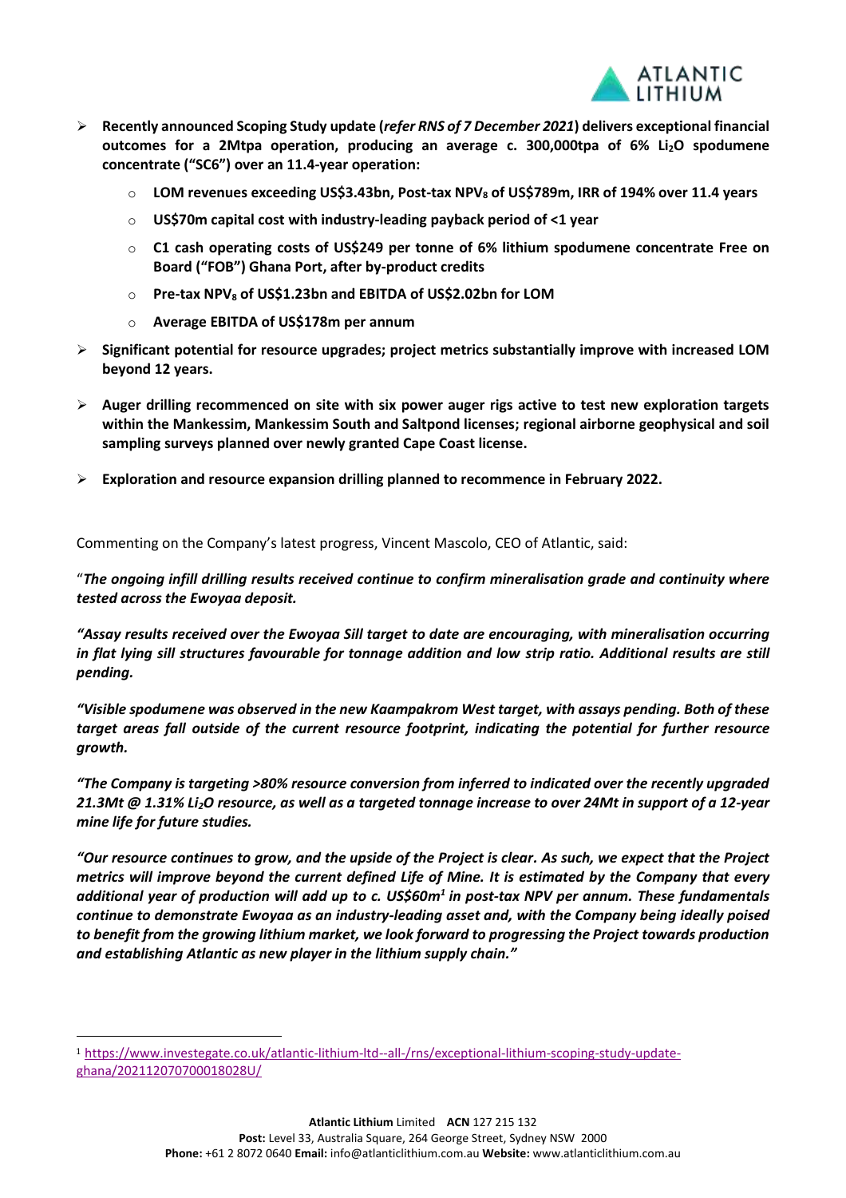

- ➢ **Recently announced Scoping Study update (***refer RNS of 7 December 2021***) delivers exceptional financial outcomes for a 2Mtpa operation, producing an average c. 300,000tpa of 6% Li2O spodumene concentrate ("SC6") over an 11.4-year operation:**
	- o **LOM revenues exceeding US\$3.43bn, Post-tax NPV<sup>8</sup> of US\$789m, IRR of 194% over 11.4 years**
	- o **US\$70m capital cost with industry-leading payback period of <1 year**
	- o **C1 cash operating costs of US\$249 per tonne of 6% lithium spodumene concentrate Free on Board ("FOB") Ghana Port, after by-product credits**
	- o **Pre-tax NPV<sup>8</sup> of US\$1.23bn and EBITDA of US\$2.02bn for LOM**
	- o **Average EBITDA of US\$178m per annum**
- ➢ **Significant potential for resource upgrades; project metrics substantially improve with increased LOM beyond 12 years.**
- ➢ **Auger drilling recommenced on site with six power auger rigs active to test new exploration targets within the Mankessim, Mankessim South and Saltpond licenses; regional airborne geophysical and soil sampling surveys planned over newly granted Cape Coast license.**
- ➢ **Exploration and resource expansion drilling planned to recommence in February 2022.**

Commenting on the Company's latest progress, Vincent Mascolo, CEO of Atlantic, said:

"*The ongoing infill drilling results received continue to confirm mineralisation grade and continuity where tested across the Ewoyaa deposit.*

*"Assay results received over the Ewoyaa Sill target to date are encouraging, with mineralisation occurring in flat lying sill structures favourable for tonnage addition and low strip ratio. Additional results are still pending.*

*"Visible spodumene was observed in the new Kaampakrom West target, with assays pending. Both of these target areas fall outside of the current resource footprint, indicating the potential for further resource growth.*

*"The Company is targeting >80% resource conversion from inferred to indicated over the recently upgraded 21.3Mt @ 1.31% Li2O resource, as well as a targeted tonnage increase to over 24Mt in support of a 12-year mine life for future studies.*

*"Our resource continues to grow, and the upside of the Project is clear. As such, we expect that the Project metrics will improve beyond the current defined Life of Mine. It is estimated by the Company that every additional year of production will add up to c. US\$60m<sup>1</sup> in post-tax NPV per annum. These fundamentals continue to demonstrate Ewoyaa as an industry-leading asset and, with the Company being ideally poised to benefit from the growing lithium market, we look forward to progressing the Project towards production and establishing Atlantic as new player in the lithium supply chain."*

<sup>1</sup> [https://www.investegate.co.uk/atlantic-lithium-ltd--all-/rns/exceptional-lithium-scoping-study-update](https://www.investegate.co.uk/atlantic-lithium-ltd--all-/rns/exceptional-lithium-scoping-study-update-ghana/202112070700018028U/)[ghana/202112070700018028U/](https://www.investegate.co.uk/atlantic-lithium-ltd--all-/rns/exceptional-lithium-scoping-study-update-ghana/202112070700018028U/)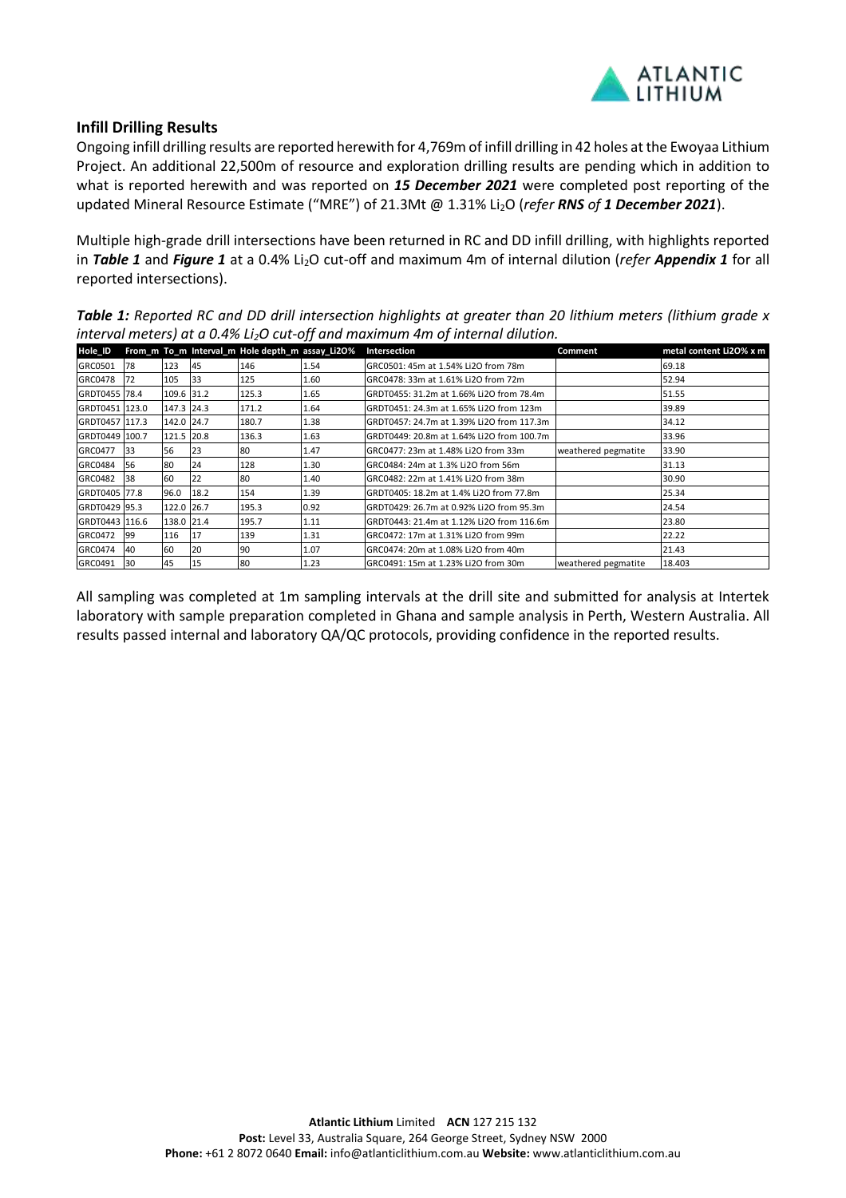

## **Infill Drilling Results**

Ongoing infill drilling results are reported herewith for 4,769m of infill drilling in 42 holes at the Ewoyaa Lithium Project. An additional 22,500m of resource and exploration drilling results are pending which in addition to what is reported herewith and was reported on *15 December 2021* were completed post reporting of the updated Mineral Resource Estimate ("MRE") of 21.3Mt @ 1.31% Li2O (*refer RNS of 1 December 2021*).

Multiple high-grade drill intersections have been returned in RC and DD infill drilling, with highlights reported in *Table 1* and *Figure 1* at a 0.4% Li2O cut-off and maximum 4m of internal dilution (*refer Appendix 1* for all reported intersections).

*Table 1: Reported RC and DD drill intersection highlights at greater than 20 lithium meters (lithium grade x interval meters) at a 0.4% Li2O cut-off and maximum 4m of internal dilution.*

| Hole_ID               |     |            |      | From m To m Interval m Hole depth m assay_Li2O% |      | Intersection                              | Comment             | metal content Li2O% x m |
|-----------------------|-----|------------|------|-------------------------------------------------|------|-------------------------------------------|---------------------|-------------------------|
| GRC0501               | 78  | 123        | 45   | 146                                             | 1.54 | GRC0501: 45m at 1.54% Li2O from 78m       |                     | 69.18                   |
| GRC0478               | 72  | 105        | 33   | 125                                             | 1.60 | GRC0478: 33m at 1.61% Li2O from 72m       |                     | 52.94                   |
| GRDT0455 78.4         |     | 109.6 31.2 |      | 125.3                                           | 1.65 | GRDT0455: 31.2m at 1.66% Li2O from 78.4m  |                     | 51.55                   |
| GRDT0451 123.0        |     | 147.3 24.3 |      | 171.2                                           | 1.64 | GRDT0451: 24.3m at 1.65% Li2O from 123m   |                     | 39.89                   |
| GRDT0457 1117.3       |     | 142.0 24.7 |      | 180.7                                           | 1.38 | GRDT0457: 24.7m at 1.39% Li2O from 117.3m |                     | 34.12                   |
| GRDT0449 100.7        |     | 121.5 20.8 |      | 136.3                                           | 1.63 | GRDT0449: 20.8m at 1.64% Li2O from 100.7m |                     | 33.96                   |
| GRC0477               | 133 | 56         | 23   | 180                                             | 1.47 | GRC0477: 23m at 1.48% Li2O from 33m       | weathered pegmatite | 33.90                   |
| GRC0484               | 56  | 80         | 24   | 128                                             | 1.30 | GRC0484: 24m at 1.3% Li2O from 56m        |                     | 31.13                   |
| GRC0482               | 38  | 60         | 22   | 80                                              | 1.40 | GRC0482: 22m at 1.41% Li2O from 38m       |                     | 30.90                   |
| <b>IGRDT0405 77.8</b> |     | 96.0       | 18.2 | 154                                             | 1.39 | GRDT0405: 18.2m at 1.4% Li2O from 77.8m   |                     | 25.34                   |
| IGRDT0429 195.3       |     | 122.0 26.7 |      | 195.3                                           | 0.92 | GRDT0429: 26.7m at 0.92% Li2O from 95.3m  |                     | 24.54                   |
| GRDT0443 1116.6       |     | 138.0 21.4 |      | 195.7                                           | 1.11 | GRDT0443: 21.4m at 1.12% Li2O from 116.6m |                     | 23.80                   |
| GRC0472               | 199 | 116        | 17   | 139                                             | 1.31 | GRC0472: 17m at 1.31% Li2O from 99m       |                     | 22.22                   |
| GRC0474               | 40  | 60         | 20   | 90                                              | 1.07 | GRC0474: 20m at 1.08% Li2O from 40m       |                     | 21.43                   |
| GRC0491               | 130 | 45         | 15   | 80                                              | 1.23 | GRC0491: 15m at 1.23% Li2O from 30m       | weathered pegmatite | 18.403                  |

All sampling was completed at 1m sampling intervals at the drill site and submitted for analysis at Intertek laboratory with sample preparation completed in Ghana and sample analysis in Perth, Western Australia. All results passed internal and laboratory QA/QC protocols, providing confidence in the reported results.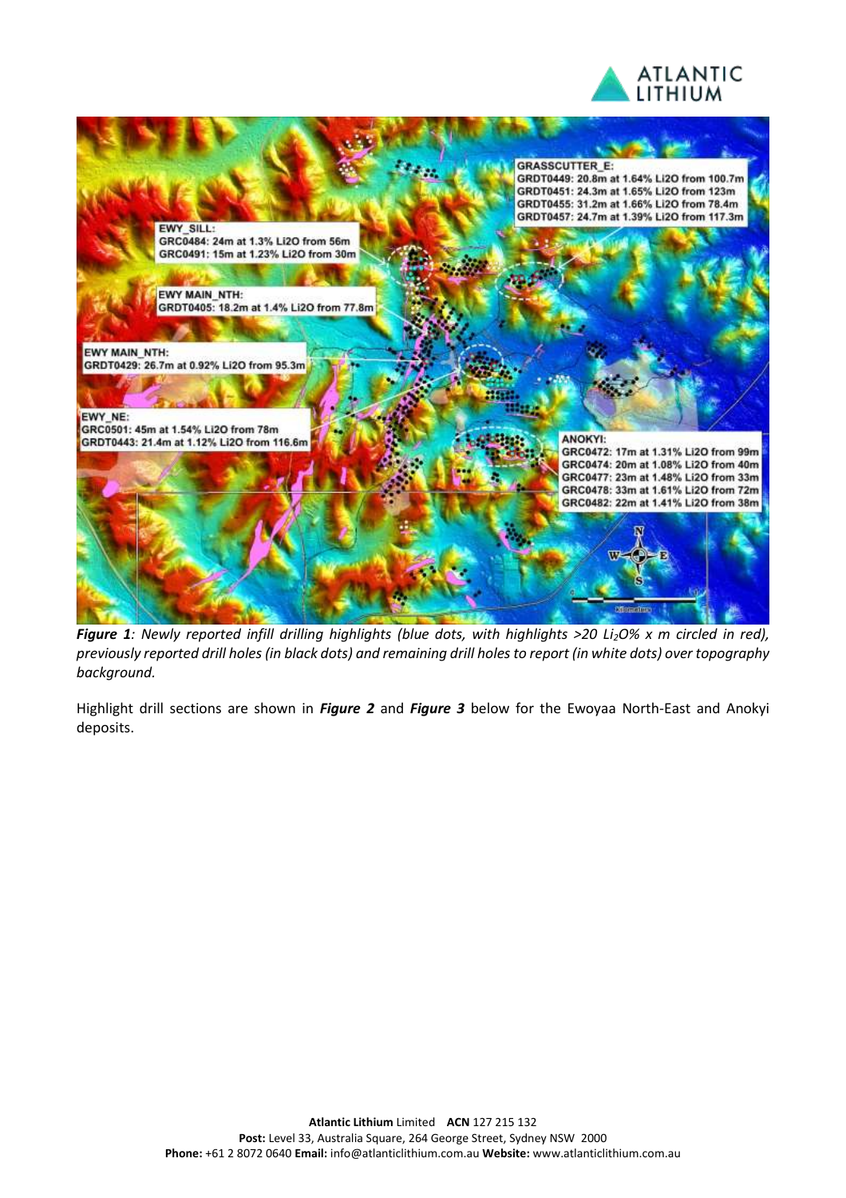



*Figure 1: Newly reported infill drilling highlights (blue dots, with highlights >20 Li2O% x m circled in red), previously reported drill holes (in black dots) and remaining drill holes to report (in white dots) over topography background.*

Highlight drill sections are shown in *Figure 2* and *Figure 3* below for the Ewoyaa North-East and Anokyi deposits.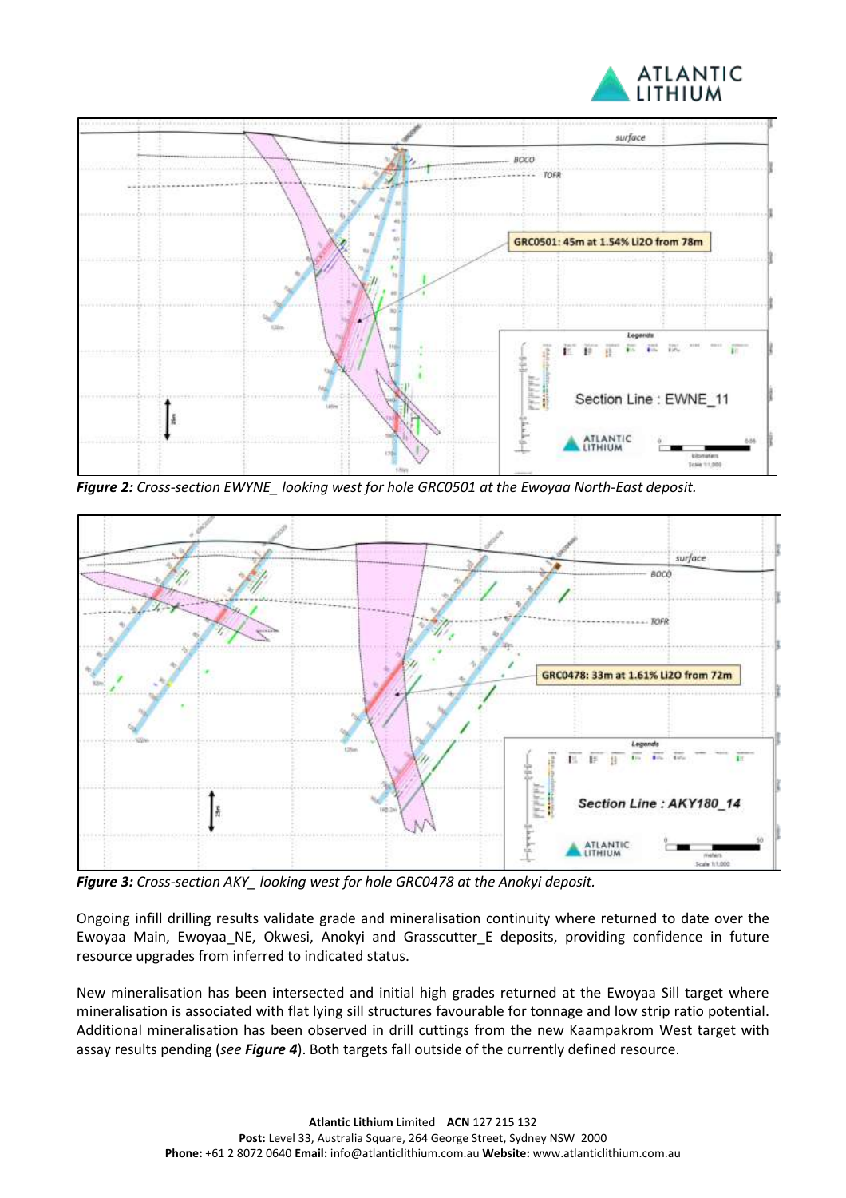



*Figure 2: Cross-section EWYNE\_ looking west for hole GRC0501 at the Ewoyaa North-East deposit.*



*Figure 3: Cross-section AKY\_ looking west for hole GRC0478 at the Anokyi deposit.*

Ongoing infill drilling results validate grade and mineralisation continuity where returned to date over the Ewoyaa Main, Ewoyaa\_NE, Okwesi, Anokyi and Grasscutter\_E deposits, providing confidence in future resource upgrades from inferred to indicated status.

New mineralisation has been intersected and initial high grades returned at the Ewoyaa Sill target where mineralisation is associated with flat lying sill structures favourable for tonnage and low strip ratio potential. Additional mineralisation has been observed in drill cuttings from the new Kaampakrom West target with assay results pending (*see Figure 4*). Both targets fall outside of the currently defined resource.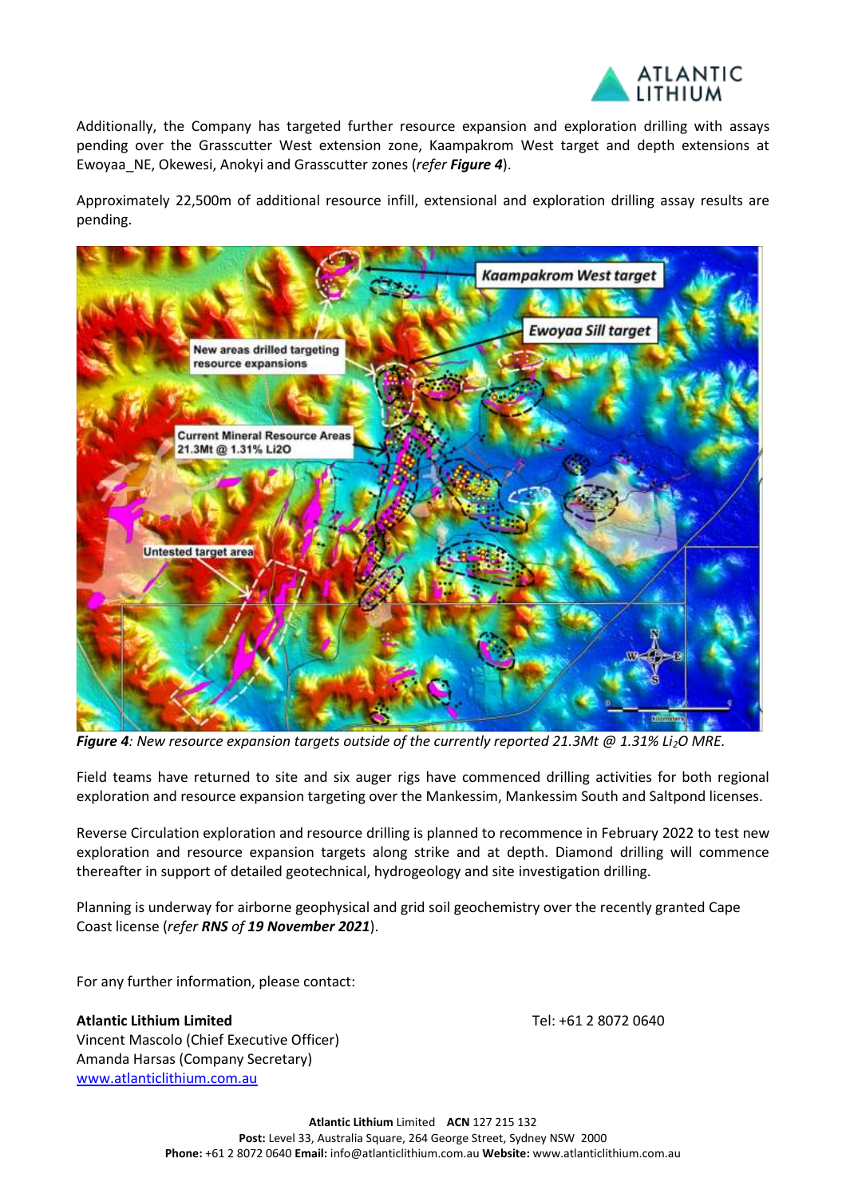

Additionally, the Company has targeted further resource expansion and exploration drilling with assays pending over the Grasscutter West extension zone, Kaampakrom West target and depth extensions at Ewoyaa\_NE, Okewesi, Anokyi and Grasscutter zones (*refer Figure 4*).

Approximately 22,500m of additional resource infill, extensional and exploration drilling assay results are pending.



*Figure 4: New resource expansion targets outside of the currently reported 21.3Mt @ 1.31% Li2O MRE.*

Field teams have returned to site and six auger rigs have commenced drilling activities for both regional exploration and resource expansion targeting over the Mankessim, Mankessim South and Saltpond licenses.

Reverse Circulation exploration and resource drilling is planned to recommence in February 2022 to test new exploration and resource expansion targets along strike and at depth. Diamond drilling will commence thereafter in support of detailed geotechnical, hydrogeology and site investigation drilling.

Planning is underway for airborne geophysical and grid soil geochemistry over the recently granted Cape Coast license (*refer RNS of 19 November 2021*).

For any further information, please contact:

**Atlantic Lithium Limited** Vincent Mascolo (Chief Executive Officer) Amanda Harsas (Company Secretary) [www.atlanticlithium.com.au](http://www.atlanticlithium.com.au/)

Tel: +61 2 8072 0640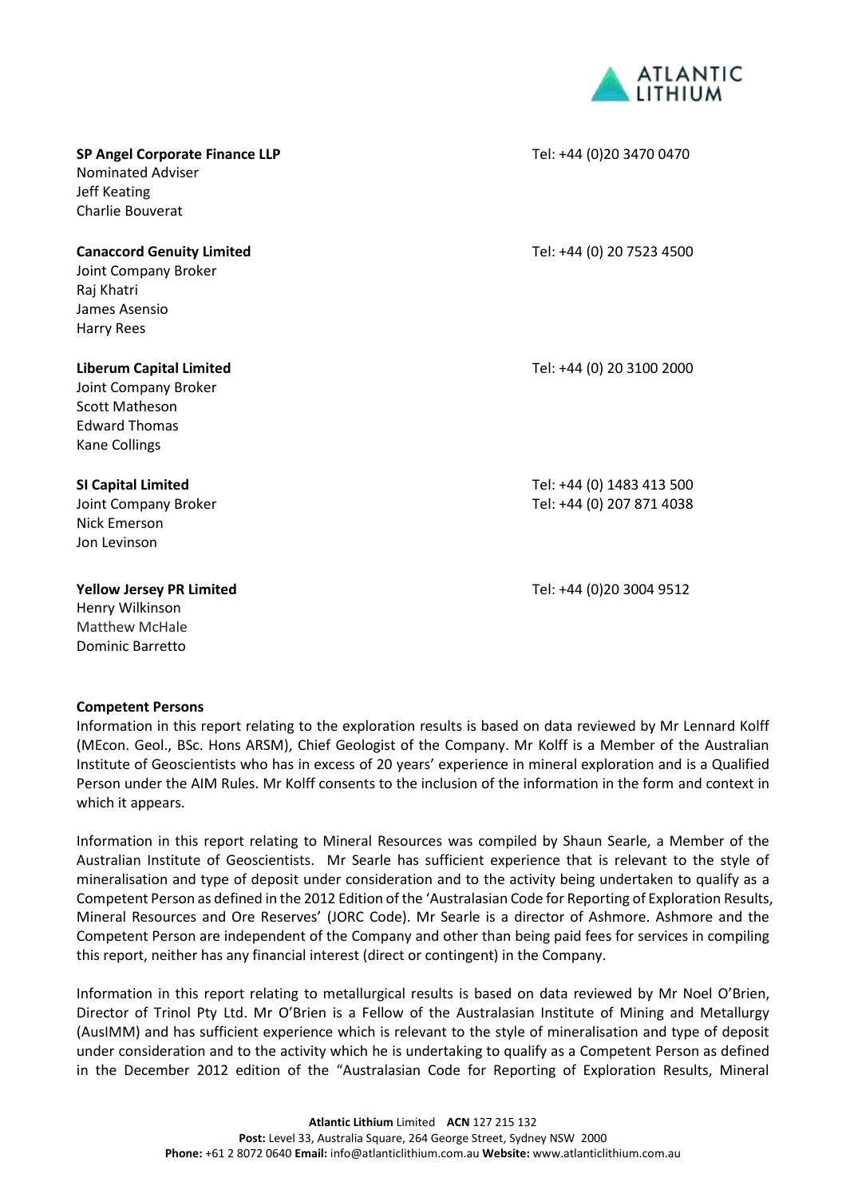

| <b>SP Angel Corporate Finance LLP</b><br><b>Nominated Adviser</b><br>Jeff Keating<br>Charlie Bouverat                           | Tel: +44 (0)20 3470 0470                               |
|---------------------------------------------------------------------------------------------------------------------------------|--------------------------------------------------------|
| <b>Canaccord Genuity Limited</b><br>Joint Company Broker<br>Raj Khatri<br>James Asensio<br><b>Harry Rees</b>                    | Tel: +44 (0) 20 7523 4500                              |
| <b>Liberum Capital Limited</b><br>Joint Company Broker<br><b>Scott Matheson</b><br><b>Edward Thomas</b><br><b>Kane Collings</b> | Tel: +44 (0) 20 3100 2000                              |
| <b>SI Capital Limited</b><br>Joint Company Broker<br>Nick Emerson<br>Jon Levinson                                               | Tel: +44 (0) 1483 413 500<br>Tel: +44 (0) 207 871 4038 |
| <b>Yellow Jersey PR Limited</b>                                                                                                 | Tel: +44 (0)20 3004 9512                               |

Henry Wilkinson Matthew McHale Dominic Barretto

### **Competent Persons**

Information in this report relating to the exploration results is based on data reviewed by Mr Lennard Kolff (MEcon. Geol., BSc. Hons ARSM), Chief Geologist of the Company. Mr Kolff is a Member of the Australian Institute of Geoscientists who has in excess of 20 years' experience in mineral exploration and is a Qualified Person under the AIM Rules. Mr Kolff consents to the inclusion of the information in the form and context in which it appears.

Information in this report relating to Mineral Resources was compiled by Shaun Searle, a Member of the Australian Institute of Geoscientists. Mr Searle has sufficient experience that is relevant to the style of mineralisation and type of deposit under consideration and to the activity being undertaken to qualify as a Competent Person as defined in the 2012 Edition of the 'Australasian Code for Reporting of Exploration Results, Mineral Resources and Ore Reserves' (JORC Code). Mr Searle is a director of Ashmore. Ashmore and the Competent Person are independent of the Company and other than being paid fees for services in compiling this report, neither has any financial interest (direct or contingent) in the Company.

Information in this report relating to metallurgical results is based on data reviewed by Mr Noel O'Brien, Director of Trinol Pty Ltd. Mr O'Brien is a Fellow of the Australasian Institute of Mining and Metallurgy (AusIMM) and has sufficient experience which is relevant to the style of mineralisation and type of deposit under consideration and to the activity which he is undertaking to qualify as a Competent Person as defined in the December 2012 edition of the "Australasian Code for Reporting of Exploration Results, Mineral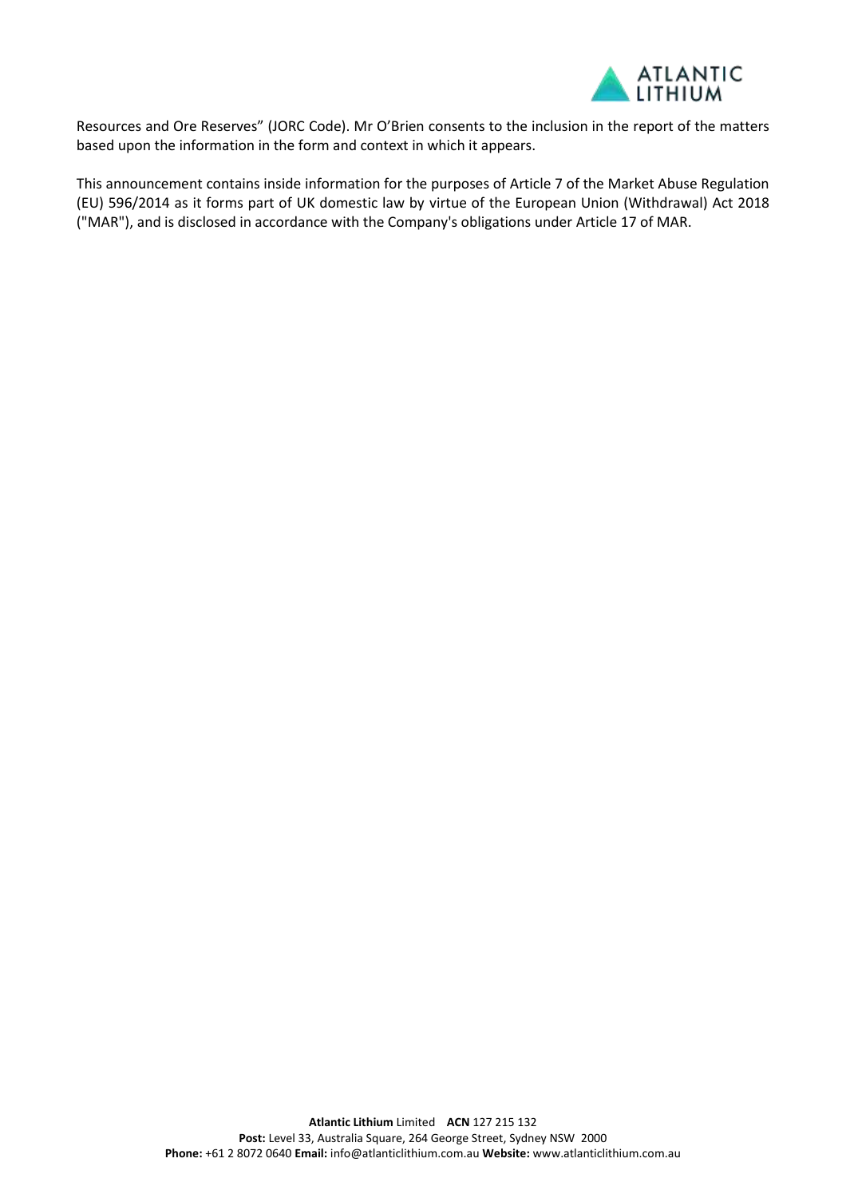

Resources and Ore Reserves" (JORC Code). Mr O'Brien consents to the inclusion in the report of the matters based upon the information in the form and context in which it appears.

This announcement contains inside information for the purposes of Article 7 of the Market Abuse Regulation (EU) 596/2014 as it forms part of UK domestic law by virtue of the European Union (Withdrawal) Act 2018 ("MAR"), and is disclosed in accordance with the Company's obligations under Article 17 of MAR.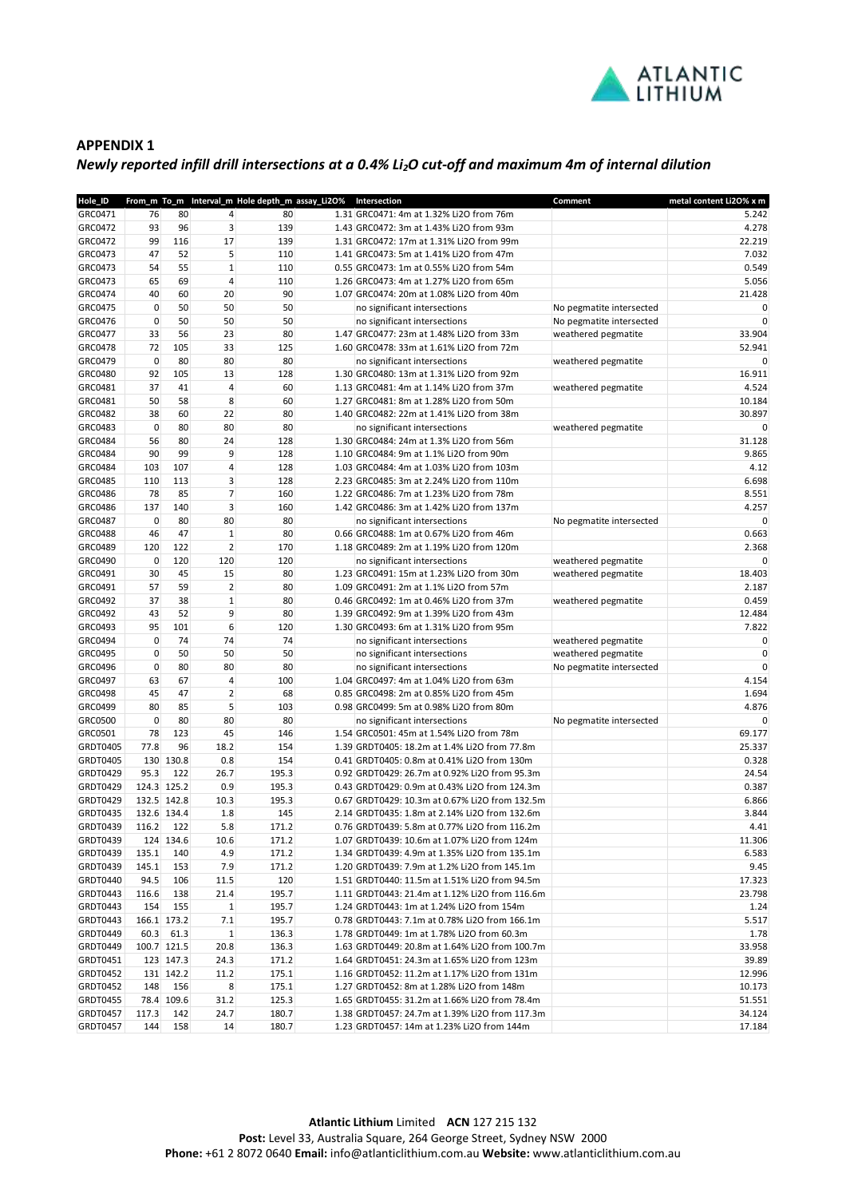

#### **APPENDIX 1**

## *Newly reported infill drill intersections at a 0.4% Li2O cut-off and maximum 4m of internal dilution*

| Hole_ID         |             |             |                | From_m To_m Interval_m Hole depth_m assay_Li2O% | Intersection                                   | Comment                  | metal content Li2O% x m |
|-----------------|-------------|-------------|----------------|-------------------------------------------------|------------------------------------------------|--------------------------|-------------------------|
| GRC0471         | 76          | 80          | $\overline{4}$ | 80                                              | 1.31 GRC0471: 4m at 1.32% Li2O from 76m        |                          | 5.242                   |
| GRC0472         | 93          | 96          | $\overline{3}$ | 139                                             | 1.43 GRC0472: 3m at 1.43% Li2O from 93m        |                          | 4.278                   |
| GRC0472         | 99          | 116         | 17             | 139                                             | 1.31 GRC0472: 17m at 1.31% Li2O from 99m       |                          | 22.219                  |
| GRC0473         | 47          | 52          | 5              | 110                                             | 1.41 GRC0473: 5m at 1.41% Li2O from 47m        |                          | 7.032                   |
| GRC0473         | 54          | 55          | $\mathbf{1}$   | 110                                             | 0.55 GRC0473: 1m at 0.55% Li2O from 54m        |                          | 0.549                   |
| GRC0473         | 65          | 69          | $\overline{4}$ | 110                                             | 1.26 GRC0473: 4m at 1.27% Li2O from 65m        |                          | 5.056                   |
| GRC0474         | 40          | 60          | 20             | 90                                              | 1.07 GRC0474: 20m at 1.08% Li2O from 40m       |                          | 21.428                  |
| GRC0475         | 0           | 50          | 50             | 50                                              | no significant intersections                   | No pegmatite intersected | 0                       |
| GRC0476         | $\mathbf 0$ | 50          | 50             | 50                                              | no significant intersections                   | No pegmatite intersected | $\mathbf 0$             |
| GRC0477         | 33          | 56          | 23             | 80                                              | 1.47 GRC0477: 23m at 1.48% Li2O from 33m       | weathered pegmatite      | 33.904                  |
| GRC0478         | 72          | 105         | 33             | 125                                             | 1.60 GRC0478: 33m at 1.61% Li2O from 72m       |                          | 52.941                  |
| GRC0479         | $\mathbf 0$ | 80          | 80             | 80                                              | no significant intersections                   | weathered pegmatite      | 0                       |
| GRC0480         | 92          | 105         | 13             | 128                                             | 1.30 GRC0480: 13m at 1.31% Li2O from 92m       |                          | 16.911                  |
| GRC0481         | 37          | 41          | $\sqrt{4}$     | 60                                              | 1.13 GRC0481: 4m at 1.14% Li2O from 37m        | weathered pegmatite      | 4.524                   |
| GRC0481         | 50          | 58          | 8              | 60                                              | 1.27 GRC0481: 8m at 1.28% Li2O from 50m        |                          | 10.184                  |
| GRC0482         | 38          | 60          | 22             | 80                                              | 1.40 GRC0482: 22m at 1.41% Li2O from 38m       |                          | 30.897                  |
| GRC0483         | $\mathbf 0$ | 80          | 80             | 80                                              | no significant intersections                   | weathered pegmatite      | 0                       |
| GRC0484         | 56          | 80          | 24             | 128                                             | 1.30 GRC0484: 24m at 1.3% Li2O from 56m        |                          | 31.128                  |
| GRC0484         | 90          | 99          | 9              | 128                                             | 1.10 GRC0484: 9m at 1.1% Li2O from 90m         |                          | 9.865                   |
| GRC0484         | 103         | 107         | 4              | 128                                             | 1.03 GRC0484: 4m at 1.03% Li2O from 103m       |                          | 4.12                    |
| GRC0485         | 110         | 113         | 3              | 128                                             | 2.23 GRC0485: 3m at 2.24% Li2O from 110m       |                          | 6.698                   |
| GRC0486         | 78          | 85          | 7              | 160                                             | 1.22 GRC0486: 7m at 1.23% Li2O from 78m        |                          | 8.551                   |
| GRC0486         | 137         | 140         | 3              | 160                                             | 1.42 GRC0486: 3m at 1.42% Li2O from 137m       |                          | 4.257                   |
| GRC0487         | $\mathbf 0$ | 80          | 80             | 80                                              | no significant intersections                   | No pegmatite intersected | 0                       |
| GRC0488         | 46          | 47          | $\mathbf{1}$   | 80                                              | 0.66 GRC0488: 1m at 0.67% Li2O from 46m        |                          | 0.663                   |
| GRC0489         | 120         | 122         | $\overline{2}$ | 170                                             | 1.18 GRC0489: 2m at 1.19% Li2O from 120m       |                          | 2.368                   |
| GRC0490         | $\mathbf 0$ | 120         | 120            | 120                                             | no significant intersections                   | weathered pegmatite      | $\mathbf 0$             |
| GRC0491         | 30          | 45          | 15             | 80                                              | 1.23 GRC0491: 15m at 1.23% Li2O from 30m       | weathered pegmatite      | 18.403                  |
| GRC0491         | 57          | 59          | $\overline{2}$ | 80                                              | 1.09 GRC0491: 2m at 1.1% Li2O from 57m         |                          | 2.187                   |
| GRC0492         | 37          | 38          | $\mathbf{1}$   | 80                                              | 0.46 GRC0492: 1m at 0.46% Li2O from 37m        | weathered pegmatite      | 0.459                   |
| GRC0492         | 43          | 52          | 9              | 80                                              | 1.39 GRC0492: 9m at 1.39% Li2O from 43m        |                          | 12.484                  |
| GRC0493         | 95          | 101         | 6              | 120                                             | 1.30 GRC0493: 6m at 1.31% Li2O from 95m        |                          | 7.822                   |
| GRC0494         | 0           | 74          | 74             | 74                                              | no significant intersections                   | weathered pegmatite      | 0                       |
| GRC0495         | $\mathbf 0$ | 50          | 50             | 50                                              | no significant intersections                   | weathered pegmatite      | $\mathbf 0$             |
| GRC0496         | $\mathbf 0$ | 80          | 80             | 80                                              | no significant intersections                   | No pegmatite intersected | $\mathbf 0$             |
| GRC0497         | 63          | 67          | $\sqrt{4}$     | 100                                             | 1.04 GRC0497: 4m at 1.04% Li2O from 63m        |                          | 4.154                   |
| GRC0498         | 45          | 47          | $\overline{2}$ | 68                                              | 0.85 GRC0498: 2m at 0.85% Li2O from 45m        |                          | 1.694                   |
| GRC0499         | 80          | 85          | 5              | 103                                             | 0.98 GRC0499: 5m at 0.98% Li2O from 80m        |                          | 4.876                   |
| GRC0500         | $\mathbf 0$ | 80          | 80             | 80                                              | no significant intersections                   | No pegmatite intersected | 0                       |
| GRC0501         | 78          | 123         | 45             | 146                                             | 1.54 GRC0501: 45m at 1.54% Li2O from 78m       |                          | 69.177                  |
| GRDT0405        | 77.8        | 96          | 18.2           | 154                                             | 1.39 GRDT0405: 18.2m at 1.4% Li2O from 77.8m   |                          | 25.337                  |
| <b>GRDT0405</b> |             | 130 130.8   | 0.8            | 154                                             | 0.41 GRDT0405: 0.8m at 0.41% Li2O from 130m    |                          | 0.328                   |
| GRDT0429        | 95.3        | 122         | 26.7           | 195.3                                           | 0.92 GRDT0429: 26.7m at 0.92% Li2O from 95.3m  |                          | 24.54                   |
| GRDT0429        |             | 124.3 125.2 | 0.9            | 195.3                                           | 0.43 GRDT0429: 0.9m at 0.43% Li2O from 124.3m  |                          | 0.387                   |
| <b>GRDT0429</b> |             | 132.5 142.8 | 10.3           | 195.3                                           | 0.67 GRDT0429: 10.3m at 0.67% Li2O from 132.5m |                          | 6.866                   |
| GRDT0435        |             | 132.6 134.4 | 1.8            | 145                                             | 2.14 GRDT0435: 1.8m at 2.14% Li2O from 132.6m  |                          | 3.844                   |
| GRDT0439        | 116.2       | 122         | 5.8            | 171.2                                           | 0.76 GRDT0439: 5.8m at 0.77% Li2O from 116.2m  |                          | 4.41                    |
| GRDT0439        |             | 124 134.6   | 10.6           | 171.2                                           | 1.07 GRDT0439: 10.6m at 1.07% Li2O from 124m   |                          | 11.306                  |
| GRDT0439        | 135.1       | 140         | 4.9            | 171.2                                           | 1.34 GRDT0439: 4.9m at 1.35% Li2O from 135.1m  |                          | 6.583                   |
| GRDT0439        | 145.1       | 153         | 7.9            | 171.2                                           | 1.20 GRDT0439: 7.9m at 1.2% Li2O from 145.1m   |                          | 9.45                    |
| GRDT0440        | 94.5        | 106         | 11.5           | 120                                             | 1.51 GRDT0440: 11.5m at 1.51% Li2O from 94.5m  |                          | 17.323                  |
| GRDT0443        | 116.6       | 138         | 21.4           | 195.7                                           | 1.11 GRDT0443: 21.4m at 1.12% Li2O from 116.6m |                          | 23.798                  |
| GRDT0443        | 154         | 155         | $\mathbf{1}$   | 195.7                                           | 1.24 GRDT0443: 1m at 1.24% Li2O from 154m      |                          | 1.24                    |
| GRDT0443        |             | 166.1 173.2 | 7.1            | 195.7                                           | 0.78 GRDT0443: 7.1m at 0.78% Li2O from 166.1m  |                          | 5.517                   |
| GRDT0449        | 60.3        | 61.3        | $\mathbf{1}$   | 136.3                                           | 1.78 GRDT0449: 1m at 1.78% Li2O from 60.3m     |                          | 1.78                    |
| GRDT0449        |             | 100.7 121.5 | 20.8           | 136.3                                           | 1.63 GRDT0449: 20.8m at 1.64% Li2O from 100.7m |                          | 33.958                  |
| GRDT0451        |             | 123 147.3   | 24.3           | 171.2                                           | 1.64 GRDT0451: 24.3m at 1.65% Li2O from 123m   |                          | 39.89                   |
| GRDT0452        |             | 131 142.2   | 11.2           | 175.1                                           | 1.16 GRDT0452: 11.2m at 1.17% Li2O from 131m   |                          | 12.996                  |
| GRDT0452        | 148         | 156         | 8              | 175.1                                           | 1.27 GRDT0452: 8m at 1.28% Li2O from 148m      |                          | 10.173                  |
| GRDT0455        |             | 78.4 109.6  | 31.2           | 125.3                                           | 1.65 GRDT0455: 31.2m at 1.66% Li2O from 78.4m  |                          | 51.551                  |
| GRDT0457        | 117.3       | 142         | 24.7           | 180.7                                           | 1.38 GRDT0457: 24.7m at 1.39% Li2O from 117.3m |                          | 34.124                  |
| GRDT0457        | 144         | 158         | 14             | 180.7                                           | 1.23 GRDT0457: 14m at 1.23% Li2O from 144m     |                          | 17.184                  |